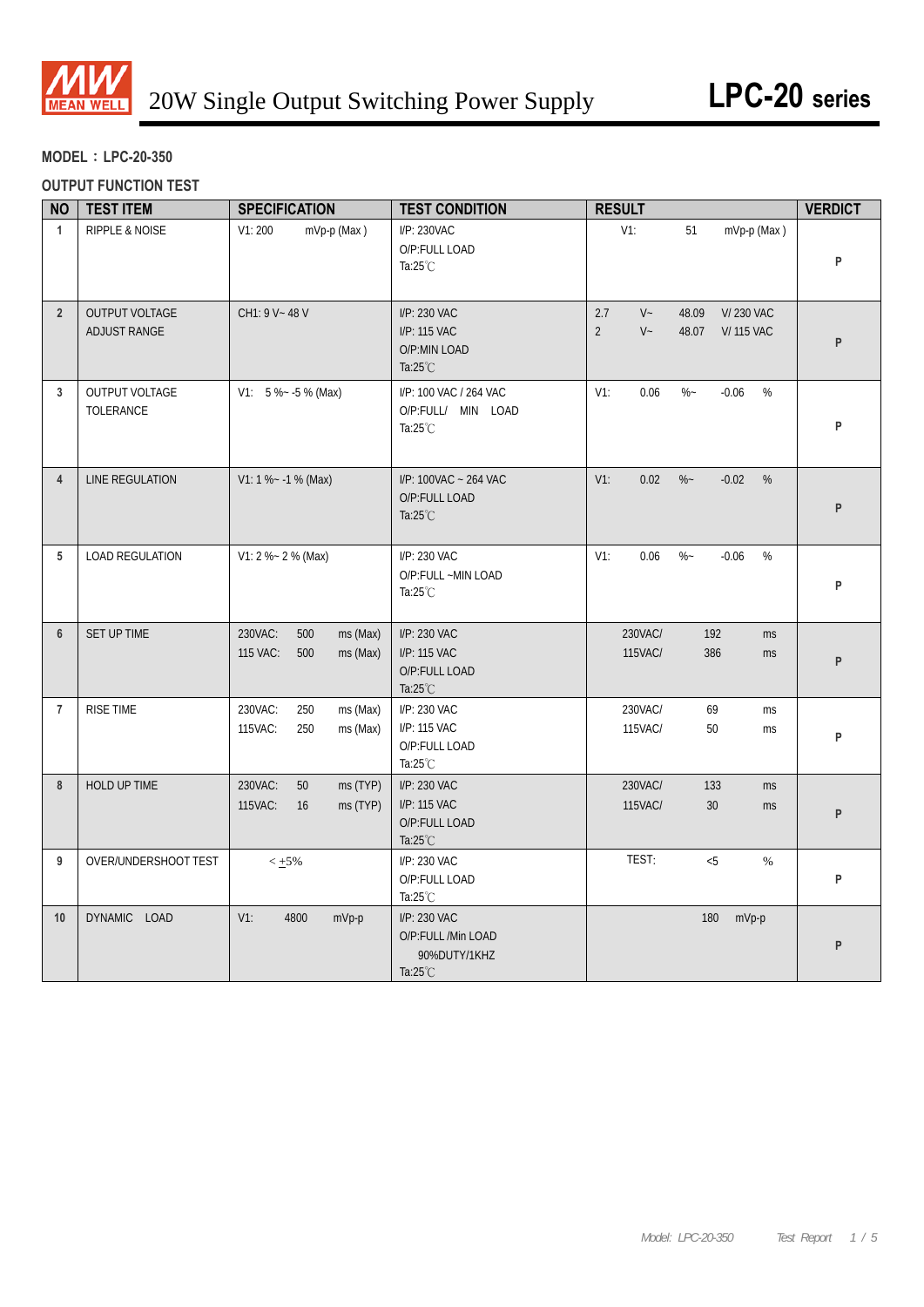

## **MODEL**:**LPC-20-350**

## **OUTPUT FUNCTION TEST**

| <b>NO</b>      | <b>TEST ITEM</b>                      | <b>SPECIFICATION</b>                                      | <b>TEST CONDITION</b>                                                    | <b>RESULT</b>                                                                                     | <b>VERDICT</b> |
|----------------|---------------------------------------|-----------------------------------------------------------|--------------------------------------------------------------------------|---------------------------------------------------------------------------------------------------|----------------|
| $\mathbf{1}$   | RIPPLE & NOISE                        | V1:200<br>mVp-p (Max)                                     | I/P: 230VAC<br>O/P:FULL LOAD<br>Ta: $25^{\circ}$ C                       | $V1$ :<br>51<br>mVp-p (Max)                                                                       | P              |
| $\overline{2}$ | OUTPUT VOLTAGE<br><b>ADJUST RANGE</b> | CH1: 9 V ~ 48 V                                           | I/P: 230 VAC<br>I/P: 115 VAC<br>O/P:MIN LOAD<br>Ta: $25^{\circ}$ C       | $V -$<br>2.7<br>48.09<br><b>V/230 VAC</b><br>$\overline{2}$<br>$V -$<br>48.07<br><b>V/115 VAC</b> | P              |
| 3              | OUTPUT VOLTAGE<br>TOLERANCE           | $V1: 5 % - 5 % (Max)$                                     | I/P: 100 VAC / 264 VAC<br>O/P:FULL/ MIN LOAD<br>Ta: $25^{\circ}$ C       | $V1$ :<br>0.06<br>$\%$ ~<br>$-0.06$<br>%                                                          | P              |
| $\overline{4}$ | LINE REGULATION                       | $V1: 1 % ~ -1 % (Max)$                                    | I/P: 100VAC ~ 264 VAC<br>O/P:FULL LOAD<br>Ta: $25^{\circ}$ C             | 0.02<br>$\%$ –<br>$V1$ :<br>$-0.02$<br>%                                                          | P              |
| 5              | <b>LOAD REGULATION</b>                | V1: 2 %~ 2 % (Max)                                        | I/P: 230 VAC<br>O/P:FULL ~MIN LOAD<br>Ta: $25^{\circ}$ C                 | 0.06<br>$% -$<br>$V1$ :<br>$-0.06$<br>%                                                           | P              |
| $6\phantom{1}$ | SET UP TIME                           | 230VAC:<br>ms (Max)<br>500<br>115 VAC:<br>500<br>ms (Max) | I/P: 230 VAC<br>I/P: 115 VAC<br>O/P:FULL LOAD<br>Ta: $25^{\circ}$ C      | 230VAC/<br>192<br>ms<br>115VAC/<br>386<br><b>ms</b>                                               | P              |
| $\overline{7}$ | RISE TIME                             | 230VAC:<br>250<br>ms (Max)<br>115VAC:<br>250<br>ms (Max)  | I/P: 230 VAC<br>I/P: 115 VAC<br>O/P:FULL LOAD<br>Ta: $25^{\circ}$ C      | 69<br>230VAC/<br>ms<br>115VAC/<br>50<br><b>ms</b>                                                 | P              |
| 8              | HOLD UP TIME                          | 230VAC:<br>50<br>ms (TYP)<br>115VAC:<br>16<br>ms (TYP)    | I/P: 230 VAC<br>I/P: 115 VAC<br>O/P:FULL LOAD<br>Ta: $25^{\circ}$ C      | 230VAC/<br>133<br>ms<br>115VAC/<br>30<br>ms                                                       | P              |
| 9              | OVER/UNDERSHOOT TEST                  | $< +5%$                                                   | I/P: 230 VAC<br>O/P:FULL LOAD<br>Ta: $25^{\circ}$ C                      | TEST:<br>&5<br>$\%$                                                                               | P              |
| 10             | DYNAMIC LOAD                          | $V1$ :<br>4800<br>mVp-p                                   | I/P: 230 VAC<br>O/P:FULL /Min LOAD<br>90%DUTY/1KHZ<br>Ta: $25^{\circ}$ C | 180<br>mVp-p                                                                                      | P              |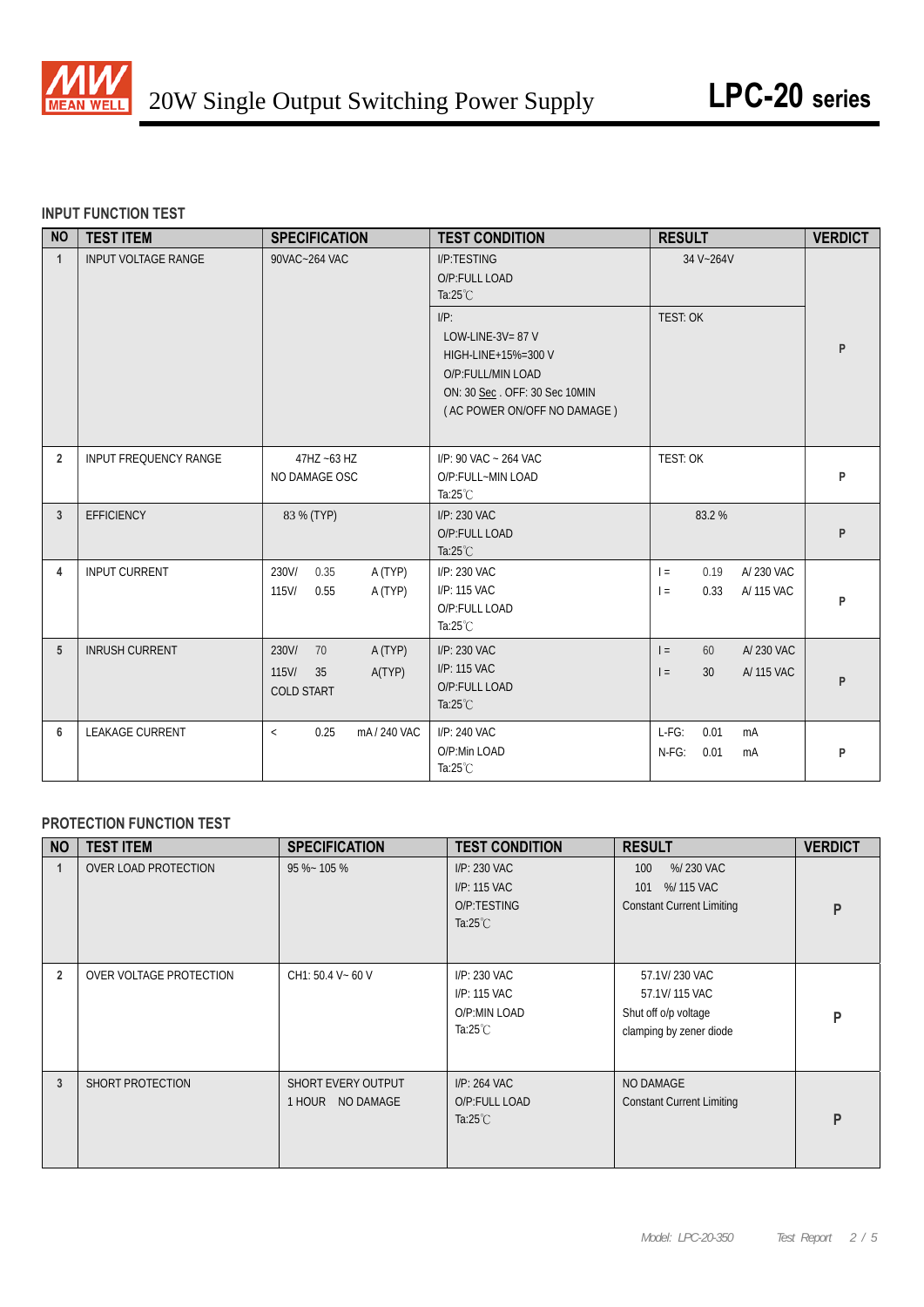

## **INPUT FUNCTION TEST**

| <b>NO</b>      | <b>TEST ITEM</b>           | <b>SPECIFICATION</b>                                                 | <b>TEST CONDITION</b>                                                                                              | <b>RESULT</b>                                           | <b>VERDICT</b> |
|----------------|----------------------------|----------------------------------------------------------------------|--------------------------------------------------------------------------------------------------------------------|---------------------------------------------------------|----------------|
| $\mathbf{1}$   | <b>INPUT VOLTAGE RANGE</b> | 90VAC~264 VAC                                                        | <b>I/P:TESTING</b><br>O/P:FULL LOAD<br>Ta: $25^{\circ}$ C<br>$I/P$ :<br>LOW-LINE-3V= $87$ V<br>HIGH-LINE+15%=300 V | 34 V~264V<br>TEST: OK                                   | P              |
|                |                            |                                                                      | O/P:FULL/MIN LOAD<br>ON: 30 Sec. OFF: 30 Sec 10MIN<br>(AC POWER ON/OFF NO DAMAGE)                                  |                                                         |                |
| $\overline{2}$ | INPUT FREQUENCY RANGE      | 47HZ ~63 HZ<br>NO DAMAGE OSC                                         | I/P: 90 VAC ~ 264 VAC<br>O/P:FULL~MIN LOAD<br>Ta: $25^{\circ}$ C                                                   | TEST: OK                                                | P              |
| 3              | <b>EFFICIENCY</b>          | 83 % (TYP)                                                           | I/P: 230 VAC<br>O/P:FULL LOAD<br>Ta: $25^{\circ}$ C                                                                | 83.2%                                                   | P              |
| 4              | <b>INPUT CURRENT</b>       | 230V/<br>0.35<br>A (TYP)<br>A (TYP)<br>$115$ V/<br>0.55              | I/P: 230 VAC<br>I/P: 115 VAC<br>O/P:FULL LOAD<br>Ta: $25^{\circ}$ C                                                | A/ 230 VAC<br>0.19<br>$=$<br>0.33<br>A/ 115 VAC<br>$=$  | P              |
| 5              | <b>INRUSH CURRENT</b>      | 230V/<br>70<br>A (TYP)<br>115V/<br>A(TYP)<br>35<br><b>COLD START</b> | I/P: 230 VAC<br>I/P: 115 VAC<br>O/P:FULL LOAD<br>Ta: $25^{\circ}$ C                                                | A/230 VAC<br>60<br>$=$<br>A/ 115 VAC<br>30<br>$\vert$ = | P              |
| 6              | <b>LEAKAGE CURRENT</b>     | mA/240 VAC<br>0.25<br>$\,<$                                          | I/P: 240 VAC<br>O/P:Min LOAD<br>Ta: $25^{\circ}$ C                                                                 | $L-FG$ :<br>0.01<br>mA<br>$N-FG$ :<br>0.01<br>mA        | P              |

## **PROTECTION FUNCTION TEST**

| <b>NO</b>      | <b>TEST ITEM</b>        | <b>SPECIFICATION</b>                      | <b>TEST CONDITION</b>                                             | <b>RESULT</b>                                                                     | <b>VERDICT</b> |
|----------------|-------------------------|-------------------------------------------|-------------------------------------------------------------------|-----------------------------------------------------------------------------------|----------------|
|                | OVER LOAD PROTECTION    | $95\% - 105\%$                            | I/P: 230 VAC<br>I/P: 115 VAC<br>O/P:TESTING<br>Ta: $25^{\circ}$ C | %/230 VAC<br>100<br>%/115 VAC<br>101<br><b>Constant Current Limiting</b>          | P              |
| $\overline{2}$ | OVER VOLTAGE PROTECTION | CH1: 50.4 V ~ 60 V                        | I/P: 230 VAC<br>I/P: 115 VAC<br>O/P:MIN LOAD<br>Ta:25 $°C$        | 57.1V/230 VAC<br>57.1V/115 VAC<br>Shut off o/p voltage<br>clamping by zener diode | P              |
| 3              | SHORT PROTECTION        | SHORT EVERY OUTPUT<br>NO DAMAGE<br>1 HOUR | I/P: 264 VAC<br>O/P:FULL LOAD<br>Ta: $25^{\circ}$ C               | NO DAMAGE<br><b>Constant Current Limiting</b>                                     | P              |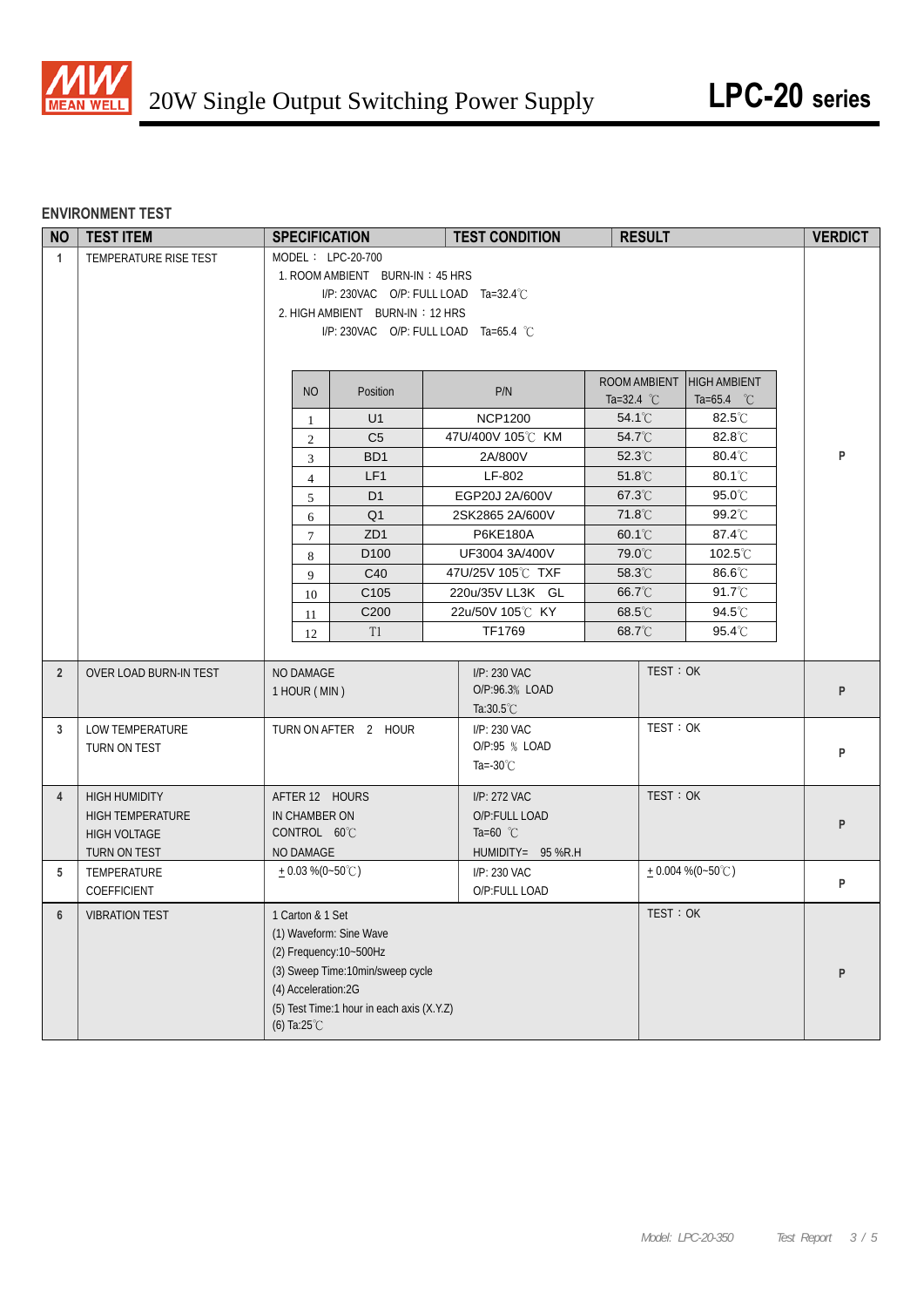

#### **ENVIRONMENT TEST**

| <b>NO</b>      | <b>TEST ITEM</b>        | <b>SPECIFICATION</b>                      | <b>TEST CONDITION</b>                 | <b>RESULT</b>                                     |                      | <b>VERDICT</b> |
|----------------|-------------------------|-------------------------------------------|---------------------------------------|---------------------------------------------------|----------------------|----------------|
| $\mathbf{1}$   | TEMPERATURE RISE TEST   | MODEL: LPC-20-700                         |                                       |                                                   |                      |                |
|                |                         | 1. ROOM AMBIENT BURN-IN: 45 HRS           |                                       |                                                   |                      |                |
|                |                         |                                           | I/P: 230VAC O/P: FULL LOAD Ta=32.4°C  |                                                   |                      |                |
|                |                         | 2. HIGH AMBIENT BURN-IN: 12 HRS           |                                       |                                                   |                      |                |
|                |                         |                                           | I/P: 230VAC O/P: FULL LOAD Ta=65.4 °C |                                                   |                      |                |
|                |                         |                                           |                                       |                                                   |                      |                |
|                |                         |                                           |                                       |                                                   |                      |                |
|                |                         | <b>NO</b><br>Position                     | P/N                                   | ROOM AMBIENT HIGH AMBIENT<br>Ta=32.4 $^{\circ}$ C | Ta=65.4 $^{\circ}$ C |                |
|                |                         | U1<br>1                                   | <b>NCP1200</b>                        | 54.1°C                                            | $82.5^{\circ}$ C     |                |
|                |                         | C <sub>5</sub><br>2                       | 47U/400V 105℃ KM                      | $54.7^{\circ}$ C                                  | $82.8^{\circ}$ C     |                |
|                |                         | BD1<br>3                                  | 2A/800V                               | 52.3°C                                            | 80.4°C               | P              |
|                |                         | LF1<br>$\overline{4}$                     | LF-802                                | $51.8^{\circ}$ C                                  | $80.1^{\circ}$ C     |                |
|                |                         | D <sub>1</sub><br>5                       | EGP20J 2A/600V                        | 67.3°C                                            | 95.0°C               |                |
|                |                         | Q <sub>1</sub><br>6                       | 2SK2865 2A/600V                       | 71.8°C                                            | 99.2°C               |                |
|                |                         | ZD <sub>1</sub><br>$\tau$                 | P6KE180A                              | 60.1°C                                            | 87.4°C               |                |
|                |                         | D <sub>100</sub><br>8                     | UF3004 3A/400V                        | 79.0°C                                            | 102.5°C              |                |
|                |                         | C40<br>9                                  | 47U/25V 105℃ TXF                      | 58.3°C                                            | 86.6°C               |                |
|                |                         | C <sub>105</sub><br>10                    | 220u/35V LL3K GL                      | 66.7°C                                            | $91.7^{\circ}$ C     |                |
|                |                         | C200<br>11                                | 22u/50V 105℃ KY                       | 68.5°C                                            | 94.5°C               |                |
|                |                         | T1<br>12                                  | TF1769                                | 68.7°C                                            | 95.4°C               |                |
|                |                         |                                           |                                       |                                                   |                      |                |
| $\overline{2}$ | OVER LOAD BURN-IN TEST  | NO DAMAGE                                 | I/P: 230 VAC                          | TEST: OK                                          |                      |                |
|                |                         | 1 HOUR (MIN)                              | O/P:96.3% LOAD                        |                                                   |                      | P              |
|                |                         |                                           | Ta: $30.5^{\circ}$ C                  |                                                   |                      |                |
| 3              | LOW TEMPERATURE         | TURN ON AFTER 2 HOUR                      | I/P: 230 VAC                          | TEST: OK                                          |                      |                |
|                | TURN ON TEST            |                                           | O/P:95 % LOAD                         |                                                   |                      | P              |
|                |                         |                                           | Ta=-30 $°C$                           |                                                   |                      |                |
| $\overline{4}$ | <b>HIGH HUMIDITY</b>    | AFTER 12 HOURS                            | I/P: 272 VAC                          | TEST: OK                                          |                      |                |
|                | <b>HIGH TEMPERATURE</b> | IN CHAMBER ON                             | O/P:FULL LOAD                         |                                                   |                      |                |
|                | <b>HIGH VOLTAGE</b>     | CONTROL 60°C                              | Ta=60 $^{\circ}$ C                    |                                                   |                      | P              |
|                | TURN ON TEST            | NO DAMAGE                                 | HUMIDITY= 95 %R.H                     |                                                   |                      |                |
| 5              | TEMPERATURE             | $+0.03\%$ (0~50°C)                        | I/P: 230 VAC                          |                                                   | $+0.004\%$ (0~50°C)  |                |
|                | COEFFICIENT             |                                           | O/P:FULL LOAD                         |                                                   |                      | P              |
| 6              | <b>VIBRATION TEST</b>   | 1 Carton & 1 Set                          |                                       | TEST: OK                                          |                      |                |
|                |                         | (1) Waveform: Sine Wave                   |                                       |                                                   |                      |                |
|                |                         | (2) Frequency: 10~500Hz                   |                                       |                                                   |                      |                |
|                |                         | (3) Sweep Time:10min/sweep cycle          |                                       |                                                   |                      | P              |
|                |                         | (4) Acceleration:2G                       |                                       |                                                   |                      |                |
|                |                         | (5) Test Time:1 hour in each axis (X.Y.Z) |                                       |                                                   |                      |                |
|                |                         | (6) Ta: $25^{\circ}$ C                    |                                       |                                                   |                      |                |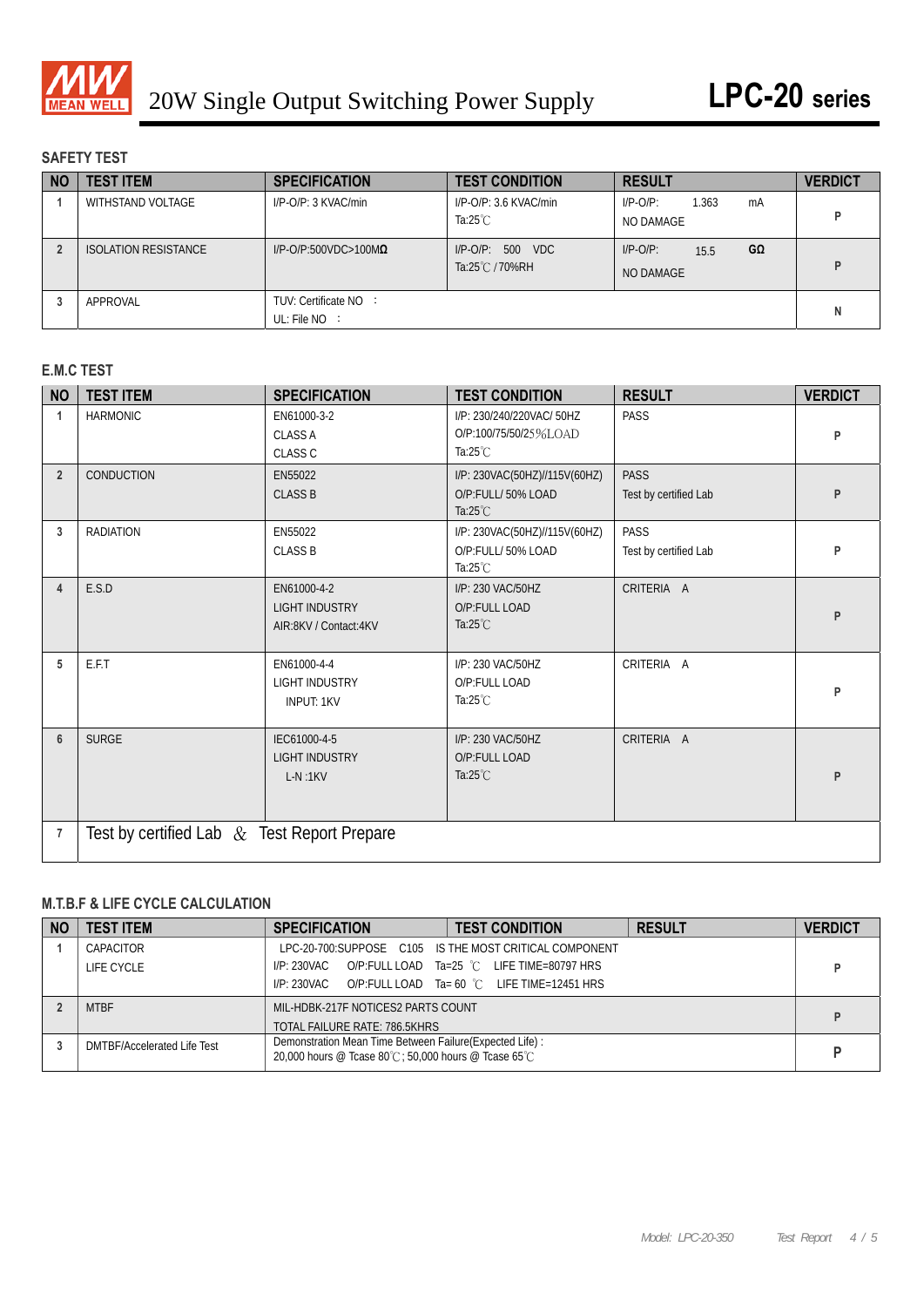

## **SAFETY TEST**

| <b>NO</b> | <b>TEST ITEM</b>            | <b>SPECIFICATION</b>                     | <b>TEST CONDITION</b>                          | <b>RESULT</b>                           | <b>VERDICT</b> |
|-----------|-----------------------------|------------------------------------------|------------------------------------------------|-----------------------------------------|----------------|
|           | WITHSTAND VOLTAGE           | $I/P$ -O/P: 3 KVAC/min                   | $I/P$ -O/P: 3.6 KVAC/min<br>Ta: $25^{\circ}$ C | $I/P-O/P$ :<br>1.363<br>mA<br>NO DAMAGE |                |
|           | <b>ISOLATION RESISTANCE</b> | $I/P$ -O/P:500VDC>100M $\Omega$          | I/P-O/P: 500 VDC<br>Ta:25℃/70%RH               | $I/P-O/P$ :<br>GΩ<br>15.5<br>NO DAMAGE  | D              |
|           | APPROVAL                    | TUV: Certificate NO :<br>UL: File $NO$ : |                                                |                                         | N              |

# **E.M.C TEST**

| <b>NO</b>      | <b>TEST ITEM</b>                               | <b>SPECIFICATION</b>                                          | <b>TEST CONDITION</b>                                                    | <b>RESULT</b>                        | <b>VERDICT</b> |  |  |  |
|----------------|------------------------------------------------|---------------------------------------------------------------|--------------------------------------------------------------------------|--------------------------------------|----------------|--|--|--|
|                | <b>HARMONIC</b>                                | EN61000-3-2<br><b>CLASS A</b><br><b>CLASS C</b>               | I/P: 230/240/220VAC/ 50HZ<br>O/P:100/75/50/25%LOAD<br>Ta: $25^{\circ}$ C | <b>PASS</b>                          | P              |  |  |  |
| $\overline{2}$ | CONDUCTION                                     | EN55022<br><b>CLASS B</b>                                     | I/P: 230VAC(50HZ)//115V(60HZ)<br>O/P:FULL/50% LOAD<br>Ta: $25^{\circ}$ C | <b>PASS</b><br>Test by certified Lab | P              |  |  |  |
| 3              | <b>RADIATION</b>                               | EN55022<br><b>CLASS B</b>                                     | I/P: 230VAC(50HZ)//115V(60HZ)<br>O/P:FULL/50% LOAD<br>Ta: $25^{\circ}$ C | <b>PASS</b><br>Test by certified Lab | P              |  |  |  |
| $\overline{4}$ | E.S.D                                          | EN61000-4-2<br><b>LIGHT INDUSTRY</b><br>AIR:8KV / Contact:4KV | I/P: 230 VAC/50HZ<br>O/P:FULL LOAD<br>Ta: $25^{\circ}$ C                 | CRITERIA A                           | P              |  |  |  |
| 5              | E.F.T                                          | EN61000-4-4<br><b>LIGHT INDUSTRY</b><br><b>INPUT: 1KV</b>     | I/P: 230 VAC/50HZ<br>O/P:FULL LOAD<br>Ta: $25^{\circ}$ C                 | CRITERIA A                           | P              |  |  |  |
| 6              | <b>SURGE</b>                                   | IEC61000-4-5<br><b>LIGHT INDUSTRY</b><br>$L-N:1KV$            | I/P: 230 VAC/50HZ<br>O/P:FULL LOAD<br>Ta: $25^{\circ}$ C                 | CRITERIA A                           | P              |  |  |  |
| $\overline{7}$ | Test by certified Lab $\&$ Test Report Prepare |                                                               |                                                                          |                                      |                |  |  |  |

# **M.T.B.F & LIFE CYCLE CALCULATION**

| <b>NO</b> | <b>TEST ITEM</b>                   | <b>SPECIFICATION</b>                                                                                              | <b>TEST CONDITION</b>                                  | <b>RESULT</b> | <b>VERDICT</b> |
|-----------|------------------------------------|-------------------------------------------------------------------------------------------------------------------|--------------------------------------------------------|---------------|----------------|
|           | CAPACITOR                          |                                                                                                                   | LPC-20-700:SUPPOSE C105 IS THE MOST CRITICAL COMPONENT |               |                |
|           | LIFE CYCLE                         | I/P: 230VAC                                                                                                       | O/P:FULL LOAD Ta=25 °C LIFE TIME=80797 HRS             |               |                |
|           |                                    | I/P: 230VAC                                                                                                       | O/P:FULL LOAD Ta= 60 °C LIFE TIME=12451 HRS            |               |                |
|           | <b>MTBF</b>                        | MIL-HDBK-217F NOTICES2 PARTS COUNT                                                                                |                                                        |               |                |
|           |                                    | TOTAL FAILURE RATE: 786.5KHRS                                                                                     |                                                        |               |                |
|           | <b>DMTBF/Accelerated Life Test</b> | Demonstration Mean Time Between Failure (Expected Life) :<br>20,000 hours @ Tcase 80°C: 50,000 hours @ Tcase 65°C |                                                        |               | D              |